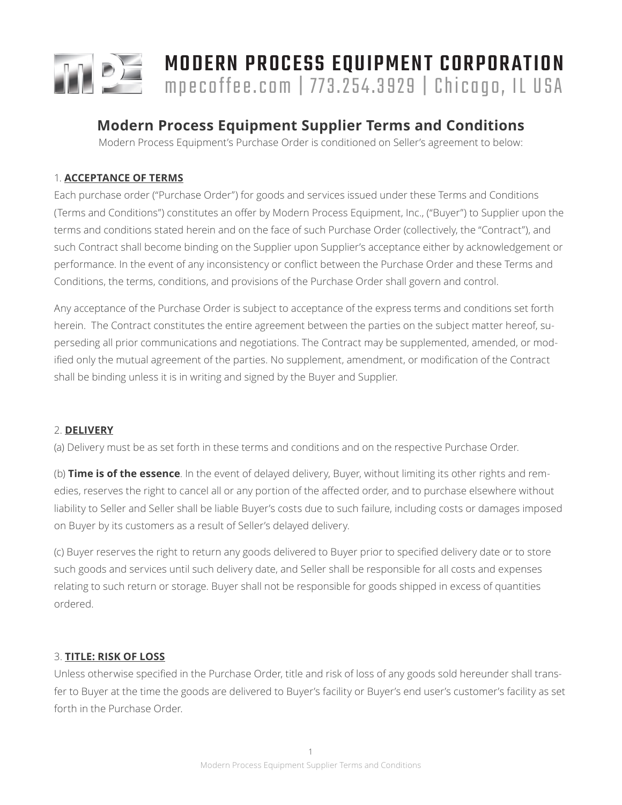

# MODERN PROCESS EQUIPMENT CORPORATION mpecoffee.com | 773.254.3929 | Chicago, IL USA

# **Modern Process Equipment Supplier Terms and Conditions**

Modern Process Equipment's Purchase Order is conditioned on Seller's agreement to below:

# 1. **ACCEPTANCE OF TERMS**

Each purchase order ("Purchase Order") for goods and services issued under these Terms and Conditions (Terms and Conditions") constitutes an offer by Modern Process Equipment, Inc., ("Buyer") to Supplier upon the terms and conditions stated herein and on the face of such Purchase Order (collectively, the "Contract"), and such Contract shall become binding on the Supplier upon Supplier's acceptance either by acknowledgement or performance. In the event of any inconsistency or conflict between the Purchase Order and these Terms and Conditions, the terms, conditions, and provisions of the Purchase Order shall govern and control.

Any acceptance of the Purchase Order is subject to acceptance of the express terms and conditions set forth herein. The Contract constitutes the entire agreement between the parties on the subject matter hereof, superseding all prior communications and negotiations. The Contract may be supplemented, amended, or modified only the mutual agreement of the parties. No supplement, amendment, or modification of the Contract shall be binding unless it is in writing and signed by the Buyer and Supplier.

# 2. **DELIVERY**

(a) Delivery must be as set forth in these terms and conditions and on the respective Purchase Order.

(b) **Time is of the essence**. In the event of delayed delivery, Buyer, without limiting its other rights and remedies, reserves the right to cancel all or any portion of the affected order, and to purchase elsewhere without liability to Seller and Seller shall be liable Buyer's costs due to such failure, including costs or damages imposed on Buyer by its customers as a result of Seller's delayed delivery.

(c) Buyer reserves the right to return any goods delivered to Buyer prior to specified delivery date or to store such goods and services until such delivery date, and Seller shall be responsible for all costs and expenses relating to such return or storage. Buyer shall not be responsible for goods shipped in excess of quantities ordered.

# 3. **TITLE: RISK OF LOSS**

Unless otherwise specified in the Purchase Order, title and risk of loss of any goods sold hereunder shall transfer to Buyer at the time the goods are delivered to Buyer's facility or Buyer's end user's customer's facility as set forth in the Purchase Order.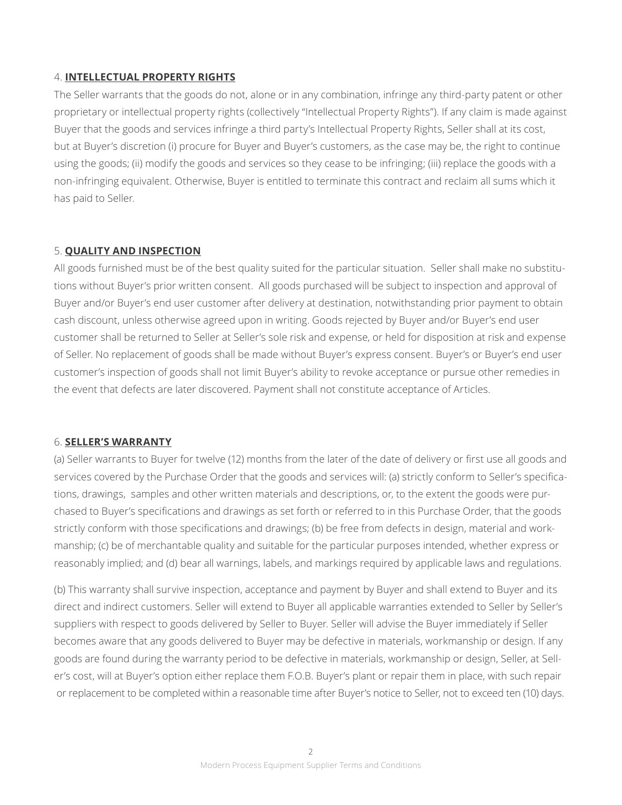# 4. **INTELLECTUAL PROPERTY RIGHTS**

The Seller warrants that the goods do not, alone or in any combination, infringe any third-party patent or other proprietary or intellectual property rights (collectively "Intellectual Property Rights"). If any claim is made against Buyer that the goods and services infringe a third party's Intellectual Property Rights, Seller shall at its cost, but at Buyer's discretion (i) procure for Buyer and Buyer's customers, as the case may be, the right to continue using the goods; (ii) modify the goods and services so they cease to be infringing; (iii) replace the goods with a non-infringing equivalent. Otherwise, Buyer is entitled to terminate this contract and reclaim all sums which it has paid to Seller.

# 5. **QUALITY AND INSPECTION**

All goods furnished must be of the best quality suited for the particular situation. Seller shall make no substitutions without Buyer's prior written consent. All goods purchased will be subject to inspection and approval of Buyer and/or Buyer's end user customer after delivery at destination, notwithstanding prior payment to obtain cash discount, unless otherwise agreed upon in writing. Goods rejected by Buyer and/or Buyer's end user customer shall be returned to Seller at Seller's sole risk and expense, or held for disposition at risk and expense of Seller. No replacement of goods shall be made without Buyer's express consent. Buyer's or Buyer's end user customer's inspection of goods shall not limit Buyer's ability to revoke acceptance or pursue other remedies in the event that defects are later discovered. Payment shall not constitute acceptance of Articles.

#### 6. **SELLER'S WARRANTY**

(a) Seller warrants to Buyer for twelve (12) months from the later of the date of delivery or first use all goods and services covered by the Purchase Order that the goods and services will: (a) strictly conform to Seller's specifications, drawings, samples and other written materials and descriptions, or, to the extent the goods were purchased to Buyer's specifications and drawings as set forth or referred to in this Purchase Order, that the goods strictly conform with those specifications and drawings; (b) be free from defects in design, material and workmanship; (c) be of merchantable quality and suitable for the particular purposes intended, whether express or reasonably implied; and (d) bear all warnings, labels, and markings required by applicable laws and regulations.

(b) This warranty shall survive inspection, acceptance and payment by Buyer and shall extend to Buyer and its direct and indirect customers. Seller will extend to Buyer all applicable warranties extended to Seller by Seller's suppliers with respect to goods delivered by Seller to Buyer. Seller will advise the Buyer immediately if Seller becomes aware that any goods delivered to Buyer may be defective in materials, workmanship or design. If any goods are found during the warranty period to be defective in materials, workmanship or design, Seller, at Seller's cost, will at Buyer's option either replace them F.O.B. Buyer's plant or repair them in place, with such repair or replacement to be completed within a reasonable time after Buyer's notice to Seller, not to exceed ten (10) days.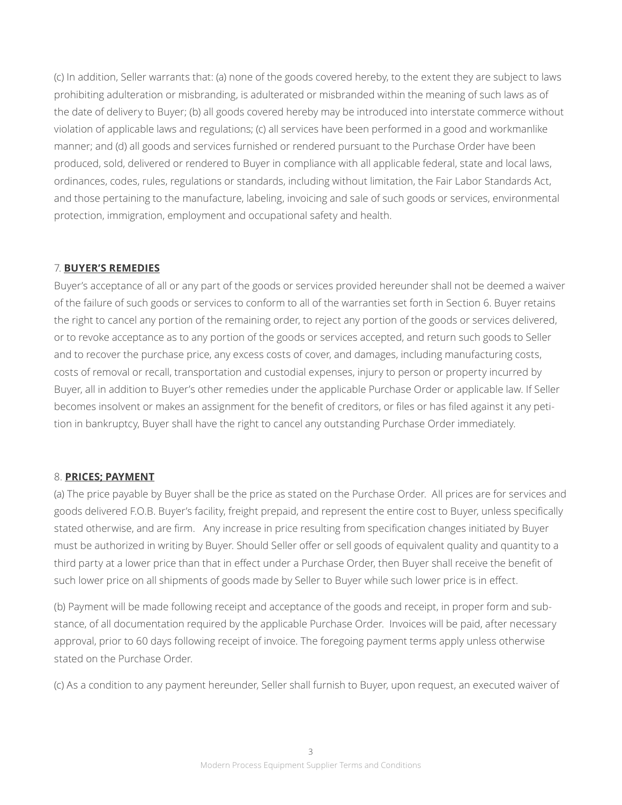(c) In addition, Seller warrants that: (a) none of the goods covered hereby, to the extent they are subject to laws prohibiting adulteration or misbranding, is adulterated or misbranded within the meaning of such laws as of the date of delivery to Buyer; (b) all goods covered hereby may be introduced into interstate commerce without violation of applicable laws and regulations; (c) all services have been performed in a good and workmanlike manner; and (d) all goods and services furnished or rendered pursuant to the Purchase Order have been produced, sold, delivered or rendered to Buyer in compliance with all applicable federal, state and local laws, ordinances, codes, rules, regulations or standards, including without limitation, the Fair Labor Standards Act, and those pertaining to the manufacture, labeling, invoicing and sale of such goods or services, environmental protection, immigration, employment and occupational safety and health.

# 7. **BUYER'S REMEDIES**

Buyer's acceptance of all or any part of the goods or services provided hereunder shall not be deemed a waiver of the failure of such goods or services to conform to all of the warranties set forth in Section 6. Buyer retains the right to cancel any portion of the remaining order, to reject any portion of the goods or services delivered, or to revoke acceptance as to any portion of the goods or services accepted, and return such goods to Seller and to recover the purchase price, any excess costs of cover, and damages, including manufacturing costs, costs of removal or recall, transportation and custodial expenses, injury to person or property incurred by Buyer, all in addition to Buyer's other remedies under the applicable Purchase Order or applicable law. If Seller becomes insolvent or makes an assignment for the benefit of creditors, or files or has filed against it any petition in bankruptcy, Buyer shall have the right to cancel any outstanding Purchase Order immediately.

#### 8. **PRICES; PAYMENT**

(a) The price payable by Buyer shall be the price as stated on the Purchase Order. All prices are for services and goods delivered F.O.B. Buyer's facility, freight prepaid, and represent the entire cost to Buyer, unless specifically stated otherwise, and are firm. Any increase in price resulting from specification changes initiated by Buyer must be authorized in writing by Buyer. Should Seller offer or sell goods of equivalent quality and quantity to a third party at a lower price than that in effect under a Purchase Order, then Buyer shall receive the benefit of such lower price on all shipments of goods made by Seller to Buyer while such lower price is in effect.

(b) Payment will be made following receipt and acceptance of the goods and receipt, in proper form and substance, of all documentation required by the applicable Purchase Order. Invoices will be paid, after necessary approval, prior to 60 days following receipt of invoice. The foregoing payment terms apply unless otherwise stated on the Purchase Order.

(c) As a condition to any payment hereunder, Seller shall furnish to Buyer, upon request, an executed waiver of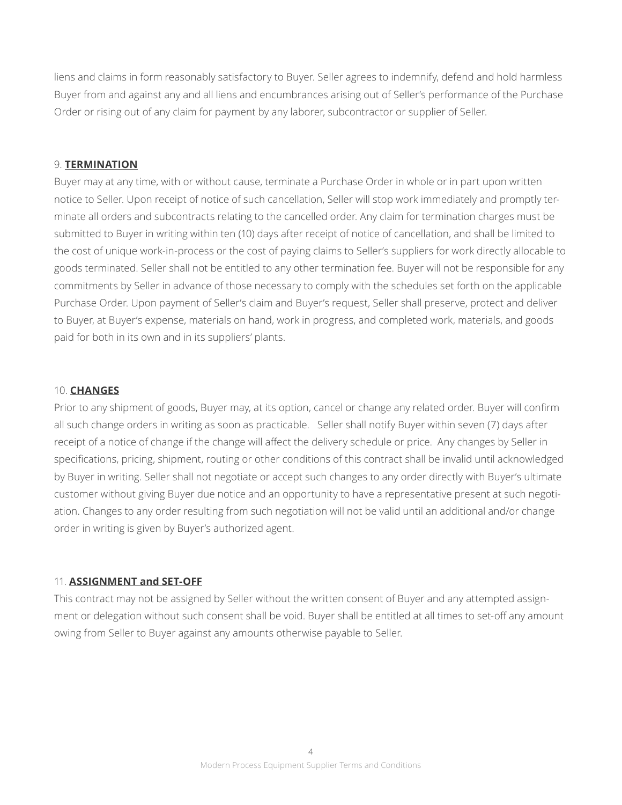liens and claims in form reasonably satisfactory to Buyer. Seller agrees to indemnify, defend and hold harmless Buyer from and against any and all liens and encumbrances arising out of Seller's performance of the Purchase Order or rising out of any claim for payment by any laborer, subcontractor or supplier of Seller.

#### 9. **TERMINATION**

Buyer may at any time, with or without cause, terminate a Purchase Order in whole or in part upon written notice to Seller. Upon receipt of notice of such cancellation, Seller will stop work immediately and promptly terminate all orders and subcontracts relating to the cancelled order. Any claim for termination charges must be submitted to Buyer in writing within ten (10) days after receipt of notice of cancellation, and shall be limited to the cost of unique work-in-process or the cost of paying claims to Seller's suppliers for work directly allocable to goods terminated. Seller shall not be entitled to any other termination fee. Buyer will not be responsible for any commitments by Seller in advance of those necessary to comply with the schedules set forth on the applicable Purchase Order. Upon payment of Seller's claim and Buyer's request, Seller shall preserve, protect and deliver to Buyer, at Buyer's expense, materials on hand, work in progress, and completed work, materials, and goods paid for both in its own and in its suppliers' plants.

#### 10. **CHANGES**

Prior to any shipment of goods, Buyer may, at its option, cancel or change any related order. Buyer will confirm all such change orders in writing as soon as practicable. Seller shall notify Buyer within seven (7) days after receipt of a notice of change if the change will affect the delivery schedule or price. Any changes by Seller in specifications, pricing, shipment, routing or other conditions of this contract shall be invalid until acknowledged by Buyer in writing. Seller shall not negotiate or accept such changes to any order directly with Buyer's ultimate customer without giving Buyer due notice and an opportunity to have a representative present at such negotiation. Changes to any order resulting from such negotiation will not be valid until an additional and/or change order in writing is given by Buyer's authorized agent.

#### 11. **ASSIGNMENT and SET-OFF**

This contract may not be assigned by Seller without the written consent of Buyer and any attempted assignment or delegation without such consent shall be void. Buyer shall be entitled at all times to set-off any amount owing from Seller to Buyer against any amounts otherwise payable to Seller.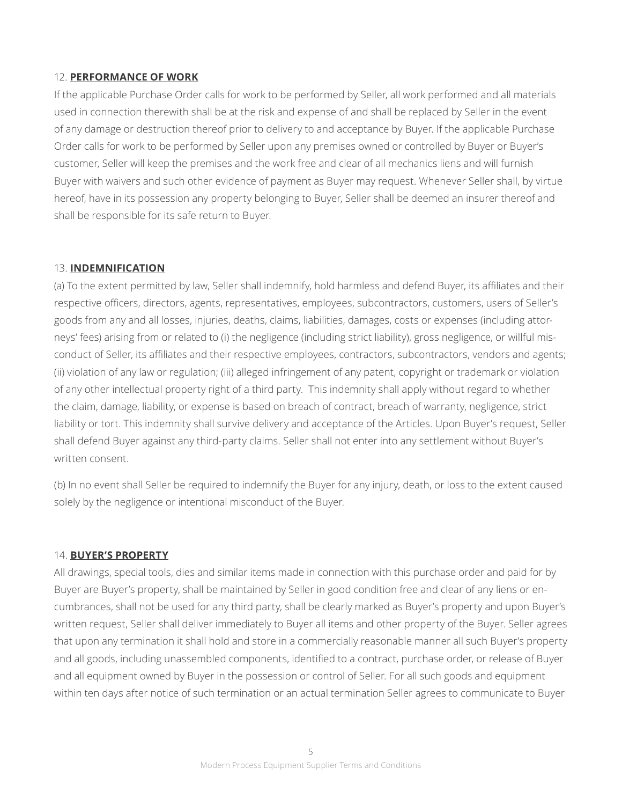# 12. **PERFORMANCE OF WORK**

If the applicable Purchase Order calls for work to be performed by Seller, all work performed and all materials used in connection therewith shall be at the risk and expense of and shall be replaced by Seller in the event of any damage or destruction thereof prior to delivery to and acceptance by Buyer. If the applicable Purchase Order calls for work to be performed by Seller upon any premises owned or controlled by Buyer or Buyer's customer, Seller will keep the premises and the work free and clear of all mechanics liens and will furnish Buyer with waivers and such other evidence of payment as Buyer may request. Whenever Seller shall, by virtue hereof, have in its possession any property belonging to Buyer, Seller shall be deemed an insurer thereof and shall be responsible for its safe return to Buyer.

# 13. **INDEMNIFICATION**

(a) To the extent permitted by law, Seller shall indemnify, hold harmless and defend Buyer, its affiliates and their respective officers, directors, agents, representatives, employees, subcontractors, customers, users of Seller's goods from any and all losses, injuries, deaths, claims, liabilities, damages, costs or expenses (including attorneys' fees) arising from or related to (i) the negligence (including strict liability), gross negligence, or willful misconduct of Seller, its affiliates and their respective employees, contractors, subcontractors, vendors and agents; (ii) violation of any law or regulation; (iii) alleged infringement of any patent, copyright or trademark or violation of any other intellectual property right of a third party. This indemnity shall apply without regard to whether the claim, damage, liability, or expense is based on breach of contract, breach of warranty, negligence, strict liability or tort. This indemnity shall survive delivery and acceptance of the Articles. Upon Buyer's request, Seller shall defend Buyer against any third-party claims. Seller shall not enter into any settlement without Buyer's written consent.

(b) In no event shall Seller be required to indemnify the Buyer for any injury, death, or loss to the extent caused solely by the negligence or intentional misconduct of the Buyer.

#### 14. **BUYER'S PROPERTY**

All drawings, special tools, dies and similar items made in connection with this purchase order and paid for by Buyer are Buyer's property, shall be maintained by Seller in good condition free and clear of any liens or encumbrances, shall not be used for any third party, shall be clearly marked as Buyer's property and upon Buyer's written request, Seller shall deliver immediately to Buyer all items and other property of the Buyer. Seller agrees that upon any termination it shall hold and store in a commercially reasonable manner all such Buyer's property and all goods, including unassembled components, identified to a contract, purchase order, or release of Buyer and all equipment owned by Buyer in the possession or control of Seller. For all such goods and equipment within ten days after notice of such termination or an actual termination Seller agrees to communicate to Buyer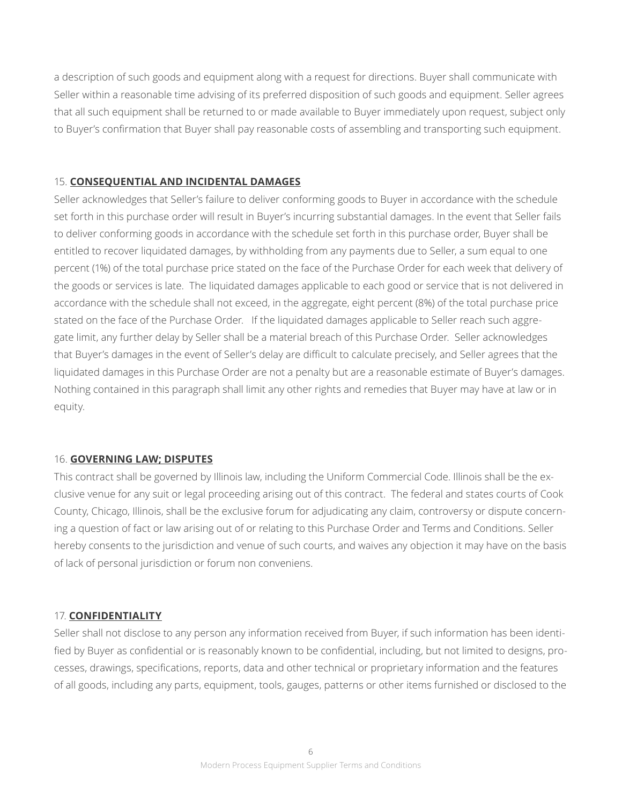a description of such goods and equipment along with a request for directions. Buyer shall communicate with Seller within a reasonable time advising of its preferred disposition of such goods and equipment. Seller agrees that all such equipment shall be returned to or made available to Buyer immediately upon request, subject only to Buyer's confirmation that Buyer shall pay reasonable costs of assembling and transporting such equipment.

#### 15. **CONSEQUENTIAL AND INCIDENTAL DAMAGES**

Seller acknowledges that Seller's failure to deliver conforming goods to Buyer in accordance with the schedule set forth in this purchase order will result in Buyer's incurring substantial damages. In the event that Seller fails to deliver conforming goods in accordance with the schedule set forth in this purchase order, Buyer shall be entitled to recover liquidated damages, by withholding from any payments due to Seller, a sum equal to one percent (1%) of the total purchase price stated on the face of the Purchase Order for each week that delivery of the goods or services is late. The liquidated damages applicable to each good or service that is not delivered in accordance with the schedule shall not exceed, in the aggregate, eight percent (8%) of the total purchase price stated on the face of the Purchase Order. If the liquidated damages applicable to Seller reach such aggregate limit, any further delay by Seller shall be a material breach of this Purchase Order. Seller acknowledges that Buyer's damages in the event of Seller's delay are difficult to calculate precisely, and Seller agrees that the liquidated damages in this Purchase Order are not a penalty but are a reasonable estimate of Buyer's damages. Nothing contained in this paragraph shall limit any other rights and remedies that Buyer may have at law or in equity.

#### 16. **GOVERNING LAW; DISPUTES**

This contract shall be governed by Illinois law, including the Uniform Commercial Code. Illinois shall be the exclusive venue for any suit or legal proceeding arising out of this contract. The federal and states courts of Cook County, Chicago, Illinois, shall be the exclusive forum for adjudicating any claim, controversy or dispute concerning a question of fact or law arising out of or relating to this Purchase Order and Terms and Conditions. Seller hereby consents to the jurisdiction and venue of such courts, and waives any objection it may have on the basis of lack of personal jurisdiction or forum non conveniens.

# 17. **CONFIDENTIALITY**

Seller shall not disclose to any person any information received from Buyer, if such information has been identified by Buyer as confidential or is reasonably known to be confidential, including, but not limited to designs, processes, drawings, specifications, reports, data and other technical or proprietary information and the features of all goods, including any parts, equipment, tools, gauges, patterns or other items furnished or disclosed to the